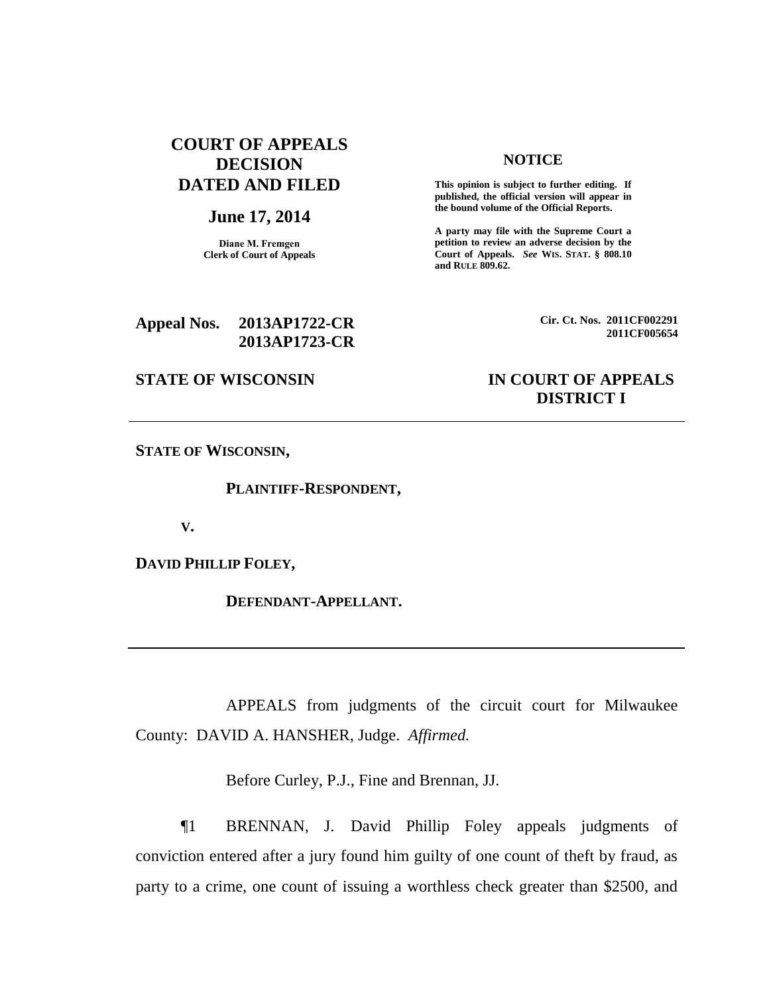# **COURT OF APPEALS DECISION DATED AND FILED**

### **June 17, 2014**

**Diane M. Fremgen Clerk of Court of Appeals**

### **NOTICE**

**This opinion is subject to further editing. If published, the official version will appear in the bound volume of the Official Reports.** 

**A party may file with the Supreme Court a petition to review an adverse decision by the Court of Appeals.** *See* **WIS. STAT. § 808.10 and RULE 809.62.** 

### **Appeal Nos. 2013AP1722-CR 2013AP1723-CR**

**Cir. Ct. Nos. 2011CF002291 2011CF005654**

## **STATE OF WISCONSIN IN COURT OF APPEALS DISTRICT I**

**STATE OF WISCONSIN,**

**PLAINTIFF-RESPONDENT,**

**V.**

**DAVID PHILLIP FOLEY,**

**DEFENDANT-APPELLANT.**

APPEALS from judgments of the circuit court for Milwaukee County: DAVID A. HANSHER, Judge. *Affirmed.*

Before Curley, P.J., Fine and Brennan, JJ.

¶1 BRENNAN, J. David Phillip Foley appeals judgments of conviction entered after a jury found him guilty of one count of theft by fraud, as party to a crime, one count of issuing a worthless check greater than \$2500, and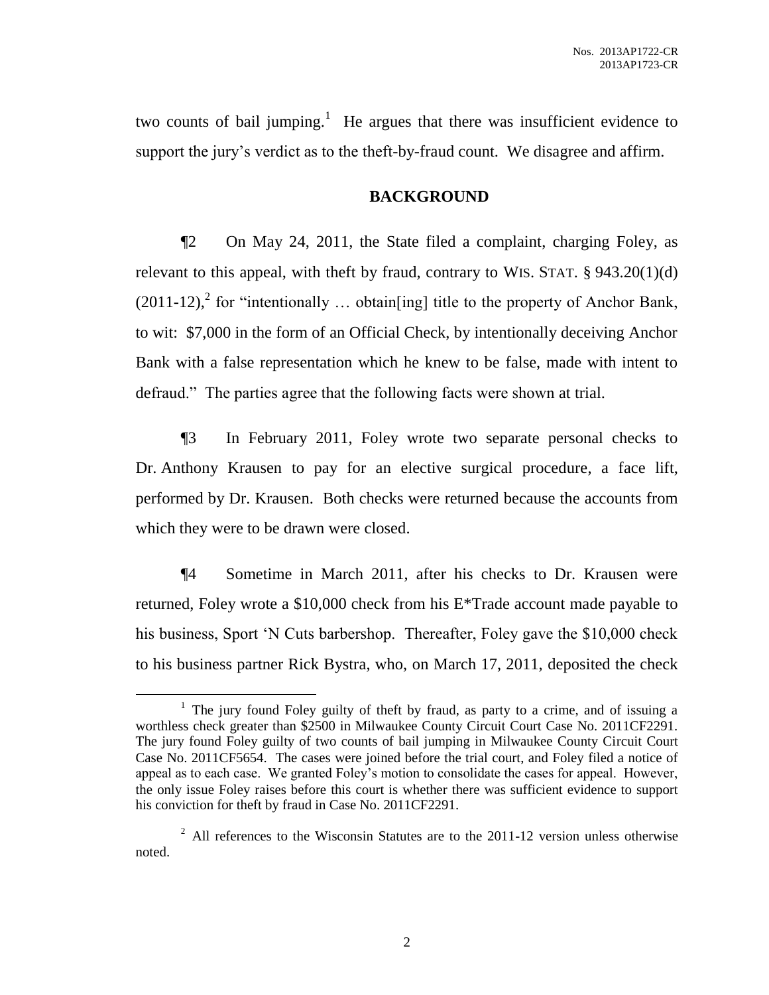two counts of bail jumping.<sup>1</sup> He argues that there was insufficient evidence to support the jury's verdict as to the theft-by-fraud count. We disagree and affirm.

## **BACKGROUND**

¶2 On May 24, 2011, the State filed a complaint, charging Foley, as relevant to this appeal, with theft by fraud, contrary to WIS. STAT.  $\S 943.20(1)(d)$  $(2011-12)$ <sup>2</sup>, for "intentionally ... obtain[ing] title to the property of Anchor Bank, to wit: \$7,000 in the form of an Official Check, by intentionally deceiving Anchor Bank with a false representation which he knew to be false, made with intent to defraud." The parties agree that the following facts were shown at trial.

¶3 In February 2011, Foley wrote two separate personal checks to Dr. Anthony Krausen to pay for an elective surgical procedure, a face lift, performed by Dr. Krausen. Both checks were returned because the accounts from which they were to be drawn were closed.

¶4 Sometime in March 2011, after his checks to Dr. Krausen were returned, Foley wrote a \$10,000 check from his E\*Trade account made payable to his business, Sport 'N Cuts barbershop. Thereafter, Foley gave the \$10,000 check to his business partner Rick Bystra, who, on March 17, 2011, deposited the check

 $\overline{a}$ 

<sup>&</sup>lt;sup>1</sup> The jury found Foley guilty of theft by fraud, as party to a crime, and of issuing a worthless check greater than \$2500 in Milwaukee County Circuit Court Case No. 2011CF2291. The jury found Foley guilty of two counts of bail jumping in Milwaukee County Circuit Court Case No. 2011CF5654. The cases were joined before the trial court, and Foley filed a notice of appeal as to each case. We granted Foley's motion to consolidate the cases for appeal. However, the only issue Foley raises before this court is whether there was sufficient evidence to support his conviction for theft by fraud in Case No. 2011CF2291.

 $2$  All references to the Wisconsin Statutes are to the 2011-12 version unless otherwise noted.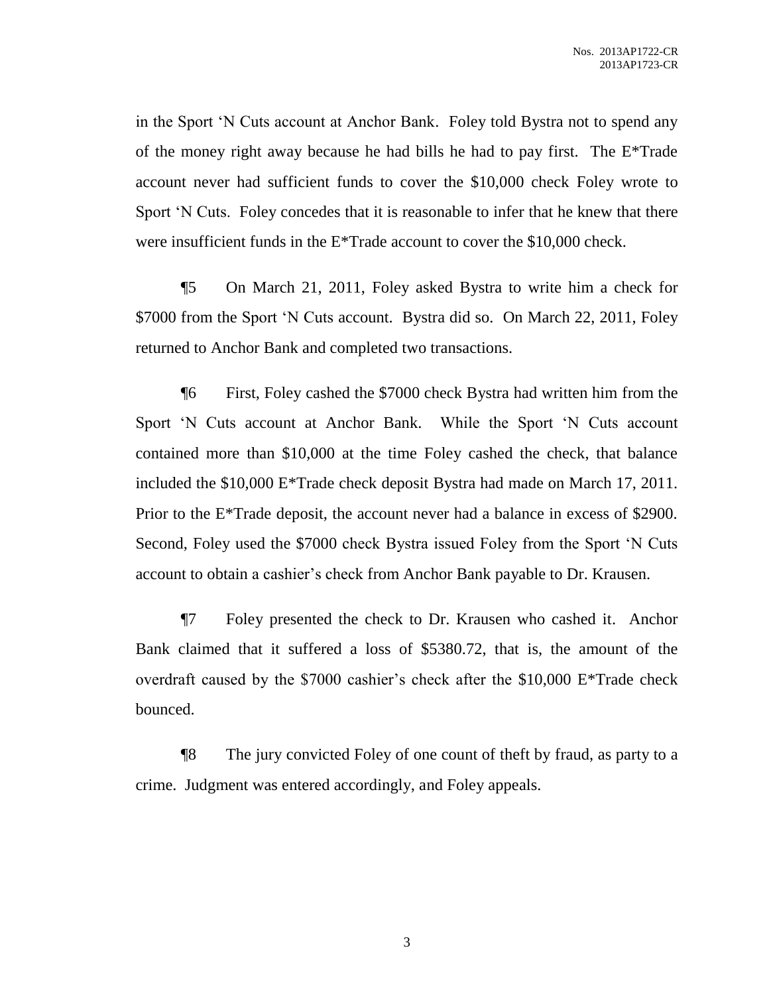in the Sport 'N Cuts account at Anchor Bank. Foley told Bystra not to spend any of the money right away because he had bills he had to pay first. The E\*Trade account never had sufficient funds to cover the \$10,000 check Foley wrote to Sport 'N Cuts. Foley concedes that it is reasonable to infer that he knew that there were insufficient funds in the E\*Trade account to cover the \$10,000 check.

¶5 On March 21, 2011, Foley asked Bystra to write him a check for \$7000 from the Sport 'N Cuts account. Bystra did so. On March 22, 2011, Foley returned to Anchor Bank and completed two transactions.

¶6 First, Foley cashed the \$7000 check Bystra had written him from the Sport 'N Cuts account at Anchor Bank. While the Sport 'N Cuts account contained more than \$10,000 at the time Foley cashed the check, that balance included the \$10,000 E\*Trade check deposit Bystra had made on March 17, 2011. Prior to the E\*Trade deposit, the account never had a balance in excess of \$2900. Second, Foley used the \$7000 check Bystra issued Foley from the Sport 'N Cuts account to obtain a cashier's check from Anchor Bank payable to Dr. Krausen.

¶7 Foley presented the check to Dr. Krausen who cashed it. Anchor Bank claimed that it suffered a loss of \$5380.72, that is, the amount of the overdraft caused by the \$7000 cashier's check after the \$10,000 E\*Trade check bounced.

¶8 The jury convicted Foley of one count of theft by fraud, as party to a crime. Judgment was entered accordingly, and Foley appeals.

3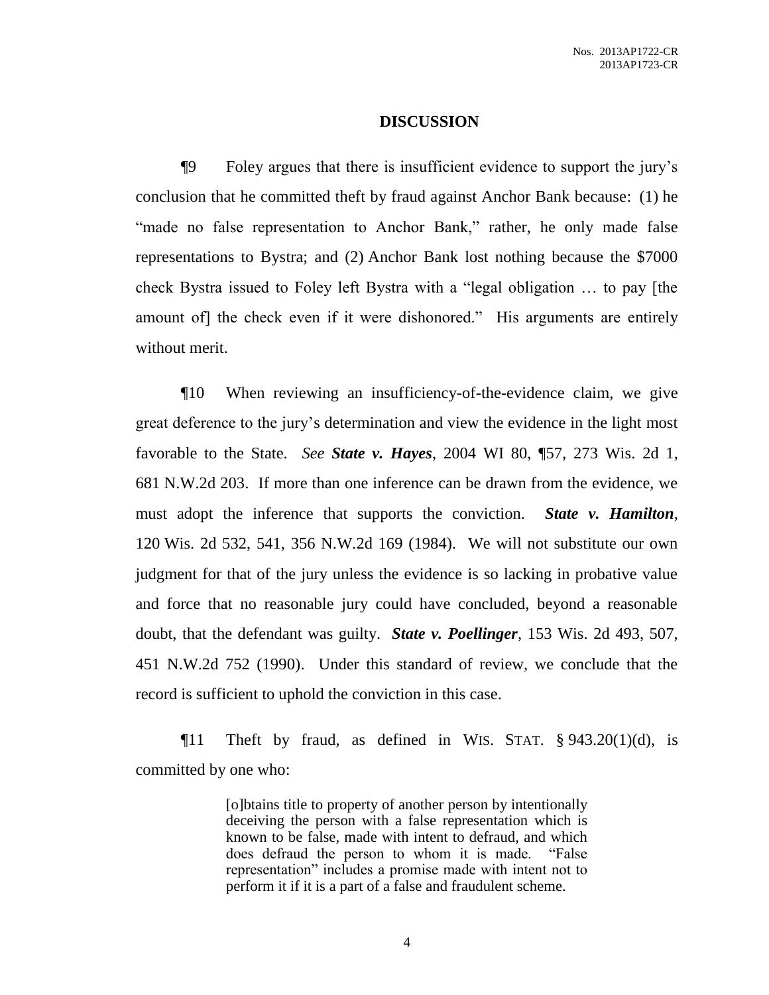### **DISCUSSION**

¶9 Foley argues that there is insufficient evidence to support the jury's conclusion that he committed theft by fraud against Anchor Bank because: (1) he "made no false representation to Anchor Bank," rather, he only made false representations to Bystra; and (2) Anchor Bank lost nothing because the \$7000 check Bystra issued to Foley left Bystra with a "legal obligation … to pay [the amount of] the check even if it were dishonored." His arguments are entirely without merit.

¶10 When reviewing an insufficiency-of-the-evidence claim, we give great deference to the jury's determination and view the evidence in the light most favorable to the State. *See State v. Hayes*, 2004 WI 80, ¶57, 273 Wis. 2d 1, 681 N.W.2d 203. If more than one inference can be drawn from the evidence, we must adopt the inference that supports the conviction. *State v. Hamilton*, 120 Wis. 2d 532, 541, 356 N.W.2d 169 (1984). We will not substitute our own judgment for that of the jury unless the evidence is so lacking in probative value and force that no reasonable jury could have concluded, beyond a reasonable doubt, that the defendant was guilty. *State v. Poellinger*, 153 Wis. 2d 493, 507, 451 N.W.2d 752 (1990). Under this standard of review, we conclude that the record is sufficient to uphold the conviction in this case.

 $\P$ **11** Theft by fraud, as defined in WIS. STAT. § 943.20(1)(d), is committed by one who:

> [o]btains title to property of another person by intentionally deceiving the person with a false representation which is known to be false, made with intent to defraud, and which does defraud the person to whom it is made. "False representation" includes a promise made with intent not to perform it if it is a part of a false and fraudulent scheme.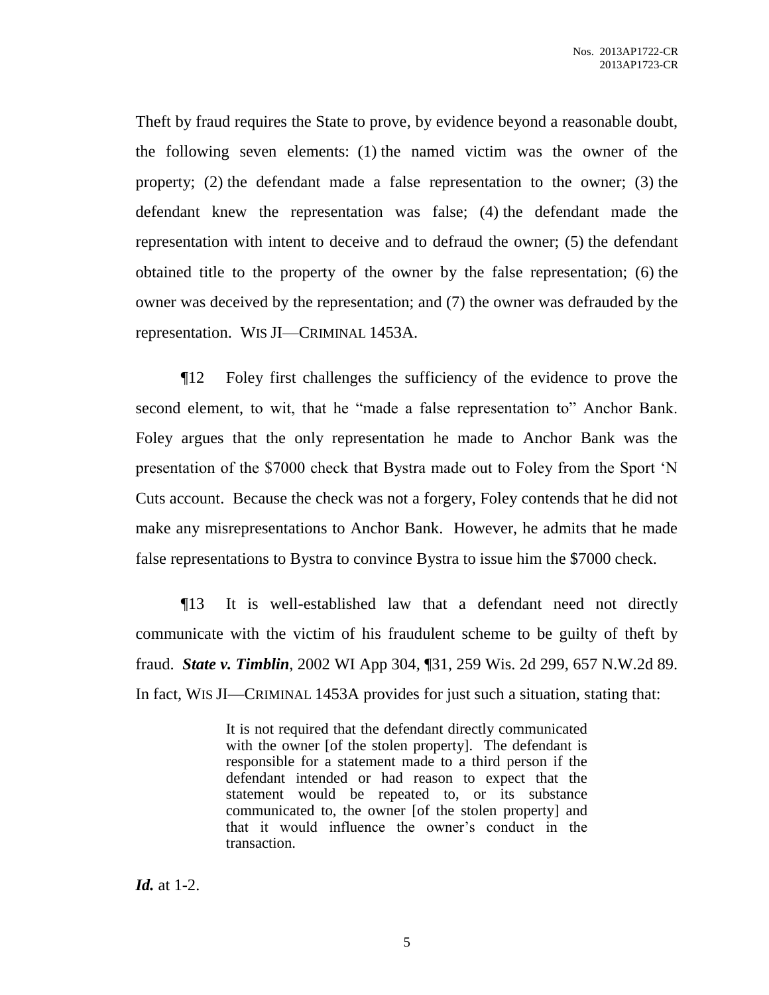Theft by fraud requires the State to prove, by evidence beyond a reasonable doubt, the following seven elements: (1) the named victim was the owner of the property; (2) the defendant made a false representation to the owner; (3) the defendant knew the representation was false; (4) the defendant made the representation with intent to deceive and to defraud the owner; (5) the defendant obtained title to the property of the owner by the false representation; (6) the owner was deceived by the representation; and (7) the owner was defrauded by the representation. WIS JI—CRIMINAL 1453A.

¶12 Foley first challenges the sufficiency of the evidence to prove the second element, to wit, that he "made a false representation to" Anchor Bank. Foley argues that the only representation he made to Anchor Bank was the presentation of the \$7000 check that Bystra made out to Foley from the Sport 'N Cuts account. Because the check was not a forgery, Foley contends that he did not make any misrepresentations to Anchor Bank. However, he admits that he made false representations to Bystra to convince Bystra to issue him the \$7000 check.

¶13 It is well-established law that a defendant need not directly communicate with the victim of his fraudulent scheme to be guilty of theft by fraud. *State v. Timblin*, 2002 WI App 304, ¶31, 259 Wis. 2d 299, 657 N.W.2d 89. In fact, WIS JI—CRIMINAL 1453A provides for just such a situation, stating that:

> It is not required that the defendant directly communicated with the owner [of the stolen property]. The defendant is responsible for a statement made to a third person if the defendant intended or had reason to expect that the statement would be repeated to, or its substance communicated to, the owner [of the stolen property] and that it would influence the owner's conduct in the transaction.

*Id.* at 1-2.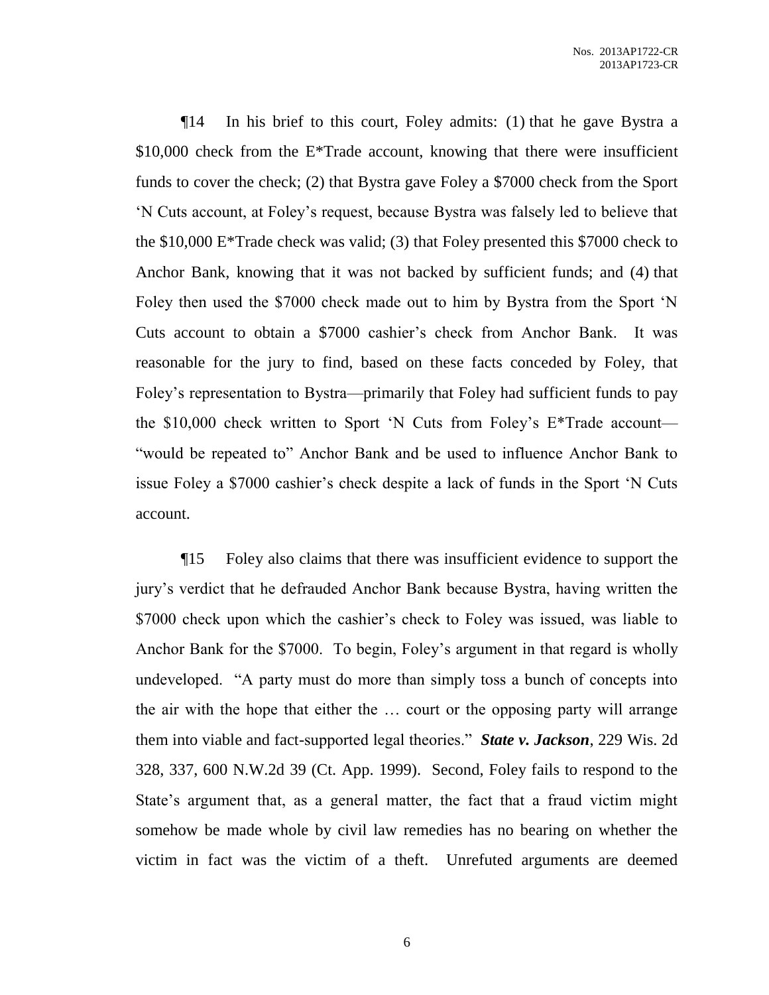¶14 In his brief to this court, Foley admits: (1) that he gave Bystra a  $$10,000$  check from the E<sup>\*</sup>Trade account, knowing that there were insufficient funds to cover the check; (2) that Bystra gave Foley a \$7000 check from the Sport 'N Cuts account, at Foley's request, because Bystra was falsely led to believe that the \$10,000 E\*Trade check was valid; (3) that Foley presented this \$7000 check to Anchor Bank, knowing that it was not backed by sufficient funds; and (4) that Foley then used the \$7000 check made out to him by Bystra from the Sport 'N Cuts account to obtain a \$7000 cashier's check from Anchor Bank. It was reasonable for the jury to find, based on these facts conceded by Foley, that Foley's representation to Bystra—primarily that Foley had sufficient funds to pay the \$10,000 check written to Sport 'N Cuts from Foley's E\*Trade account— "would be repeated to" Anchor Bank and be used to influence Anchor Bank to issue Foley a \$7000 cashier's check despite a lack of funds in the Sport 'N Cuts account.

¶15 Foley also claims that there was insufficient evidence to support the jury's verdict that he defrauded Anchor Bank because Bystra, having written the \$7000 check upon which the cashier's check to Foley was issued, was liable to Anchor Bank for the \$7000. To begin, Foley's argument in that regard is wholly undeveloped. "A party must do more than simply toss a bunch of concepts into the air with the hope that either the … court or the opposing party will arrange them into viable and fact-supported legal theories." *State v. Jackson*, 229 Wis. 2d 328, 337, 600 N.W.2d 39 (Ct. App. 1999). Second, Foley fails to respond to the State's argument that, as a general matter, the fact that a fraud victim might somehow be made whole by civil law remedies has no bearing on whether the victim in fact was the victim of a theft. Unrefuted arguments are deemed